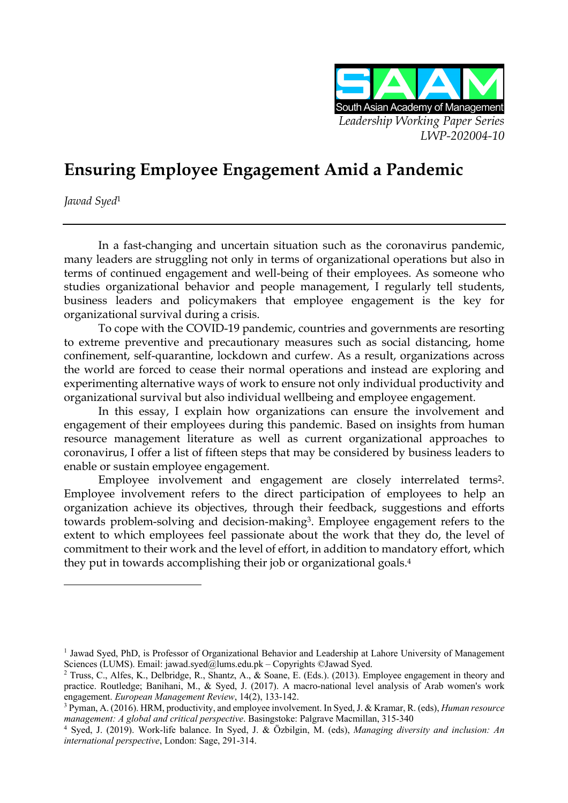

# **Ensuring Employee Engagement Amid a Pandemic**

*Jawad Syed*<sup>1</sup>

In a fast-changing and uncertain situation such as the coronavirus pandemic, many leaders are struggling not only in terms of organizational operations but also in terms of continued engagement and well-being of their employees. As someone who studies organizational behavior and people management, I regularly tell students, business leaders and policymakers that employee engagement is the key for organizational survival during a crisis.

To cope with the COVID-19 pandemic, countries and governments are resorting to extreme preventive and precautionary measures such as social distancing, home confinement, self-quarantine, lockdown and curfew. As a result, organizations across the world are forced to cease their normal operations and instead are exploring and experimenting alternative ways of work to ensure not only individual productivity and organizational survival but also individual wellbeing and employee engagement.

In this essay, I explain how organizations can ensure the involvement and engagement of their employees during this pandemic. Based on insights from human resource management literature as well as current organizational approaches to coronavirus, I offer a list of fifteen steps that may be considered by business leaders to enable or sustain employee engagement.

Employee involvement and engagement are closely interrelated terms2. Employee involvement refers to the direct participation of employees to help an organization achieve its objectives, through their feedback, suggestions and efforts towards problem-solving and decision-making3. Employee engagement refers to the extent to which employees feel passionate about the work that they do, the level of commitment to their work and the level of effort, in addition to mandatory effort, which they put in towards accomplishing their job or organizational goals.4

<sup>1</sup> Jawad Syed, PhD, is Professor of Organizational Behavior and Leadership at Lahore University of Management Sciences (LUMS). Email: jawad.syed@lums.edu.pk – Copyrights ©Jawad Syed.

<sup>&</sup>lt;sup>2</sup> Truss, C., Alfes, K., Delbridge, R., Shantz, A., & Soane, E. (Eds.). (2013). Employee engagement in theory and practice. Routledge; Banihani, M., & Syed, J. (2017). A macro-national level analysis of Arab women's work engagement. *European Management Review*, 14(2), 133-142.

<sup>3</sup> Pyman, A. (2016). HRM, productivity, and employee involvement. In Syed, J. & Kramar, R. (eds), *Human resource management: A global and critical perspective*. Basingstoke: Palgrave Macmillan, 315-340

<sup>4</sup> Syed, J. (2019). Work-life balance. In Syed, J. & Özbilgin, M. (eds), *Managing diversity and inclusion: An international perspective*, London: Sage, 291-314.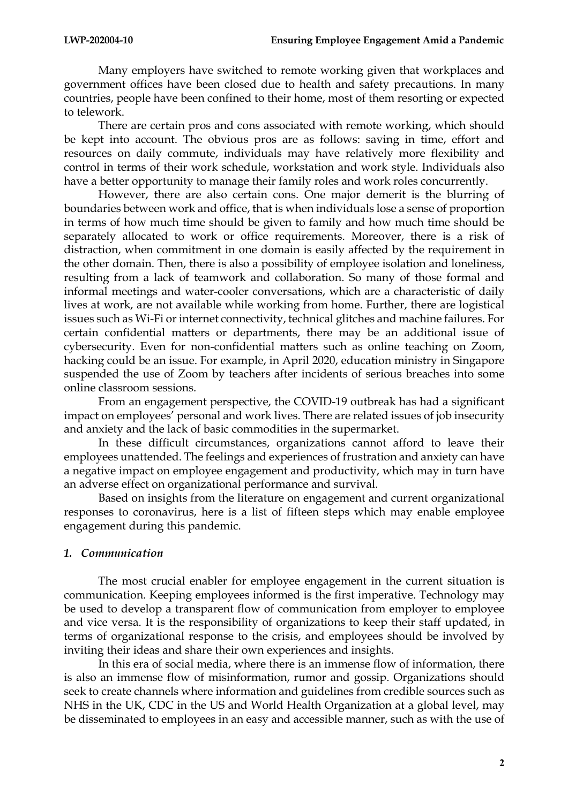Many employers have switched to remote working given that workplaces and government offices have been closed due to health and safety precautions. In many countries, people have been confined to their home, most of them resorting or expected to telework.

There are certain pros and cons associated with remote working, which should be kept into account. The obvious pros are as follows: saving in time, effort and resources on daily commute, individuals may have relatively more flexibility and control in terms of their work schedule, workstation and work style. Individuals also have a better opportunity to manage their family roles and work roles concurrently.

However, there are also certain cons. One major demerit is the blurring of boundaries between work and office, that is when individuals lose a sense of proportion in terms of how much time should be given to family and how much time should be separately allocated to work or office requirements. Moreover, there is a risk of distraction, when commitment in one domain is easily affected by the requirement in the other domain. Then, there is also a possibility of employee isolation and loneliness, resulting from a lack of teamwork and collaboration. So many of those formal and informal meetings and water-cooler conversations, which are a characteristic of daily lives at work, are not available while working from home. Further, there are logistical issues such as Wi-Fi or internet connectivity, technical glitches and machine failures. For certain confidential matters or departments, there may be an additional issue of cybersecurity. Even for non-confidential matters such as online teaching on Zoom, hacking could be an issue. For example, in April 2020, education ministry in Singapore suspended the use of Zoom by teachers after incidents of serious breaches into some online classroom sessions.

From an engagement perspective, the COVID-19 outbreak has had a significant impact on employees' personal and work lives. There are related issues of job insecurity and anxiety and the lack of basic commodities in the supermarket.

In these difficult circumstances, organizations cannot afford to leave their employees unattended. The feelings and experiences of frustration and anxiety can have a negative impact on employee engagement and productivity, which may in turn have an adverse effect on organizational performance and survival.

Based on insights from the literature on engagement and current organizational responses to coronavirus, here is a list of fifteen steps which may enable employee engagement during this pandemic.

## *1. Communication*

The most crucial enabler for employee engagement in the current situation is communication. Keeping employees informed is the first imperative. Technology may be used to develop a transparent flow of communication from employer to employee and vice versa. It is the responsibility of organizations to keep their staff updated, in terms of organizational response to the crisis, and employees should be involved by inviting their ideas and share their own experiences and insights.

In this era of social media, where there is an immense flow of information, there is also an immense flow of misinformation, rumor and gossip. Organizations should seek to create channels where information and guidelines from credible sources such as NHS in the UK, CDC in the US and World Health Organization at a global level, may be disseminated to employees in an easy and accessible manner, such as with the use of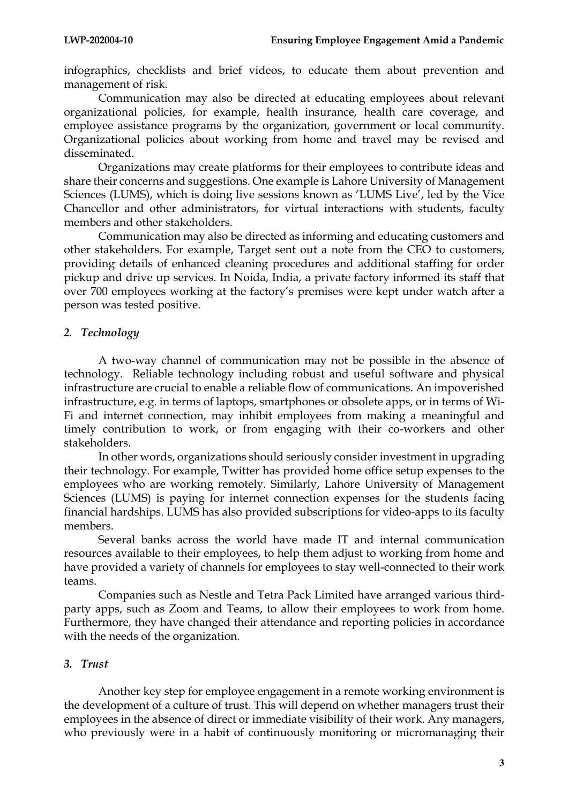infographics, checklists and brief videos, to educate them about prevention and management of risk.

Communication may also be directed at educating employees about relevant organizational policies, for example, health insurance, health care coverage, and employee assistance programs by the organization, government or local community. Organizational policies about working from home and travel may be revised and disseminated.

Organizations may create platforms for their employees to contribute ideas and share their concerns and suggestions. One example is Lahore University of Management Sciences (LUMS), which is doing live sessions known as 'LUMS Live', led by the Vice Chancellor and other administrators, for virtual interactions with students, faculty members and other stakeholders.

Communication may also be directed as informing and educating customers and other stakeholders. For example, Target sent out a note from the CEO to customers, providing details of enhanced cleaning procedures and additional staffing for order pickup and drive up services. In Noida, India, a private factory informed its staff that over 700 employees working at the factory's premises were kept under watch after a person was tested positive.

# *2. Technology*

A two-way channel of communication may not be possible in the absence of technology. Reliable technology including robust and useful software and physical infrastructure are crucial to enable a reliable flow of communications. An impoverished infrastructure, e.g. in terms of laptops, smartphones or obsolete apps, or in terms of Wi-Fi and internet connection, may inhibit employees from making a meaningful and timely contribution to work, or from engaging with their co-workers and other stakeholders.

In other words, organizations should seriously consider investment in upgrading their technology. For example, Twitter has provided home office setup expenses to the employees who are working remotely. Similarly, Lahore University of Management Sciences (LUMS) is paying for internet connection expenses for the students facing financial hardships. LUMS has also provided subscriptions for video-apps to its faculty members.

Several banks across the world have made IT and internal communication resources available to their employees, to help them adjust to working from home and have provided a variety of channels for employees to stay well-connected to their work teams.

Companies such as Nestle and Tetra Pack Limited have arranged various thirdparty apps, such as Zoom and Teams, to allow their employees to work from home. Furthermore, they have changed their attendance and reporting policies in accordance with the needs of the organization.

## *3. Trust*

Another key step for employee engagement in a remote working environment is the development of a culture of trust. This will depend on whether managers trust their employees in the absence of direct or immediate visibility of their work. Any managers, who previously were in a habit of continuously monitoring or micromanaging their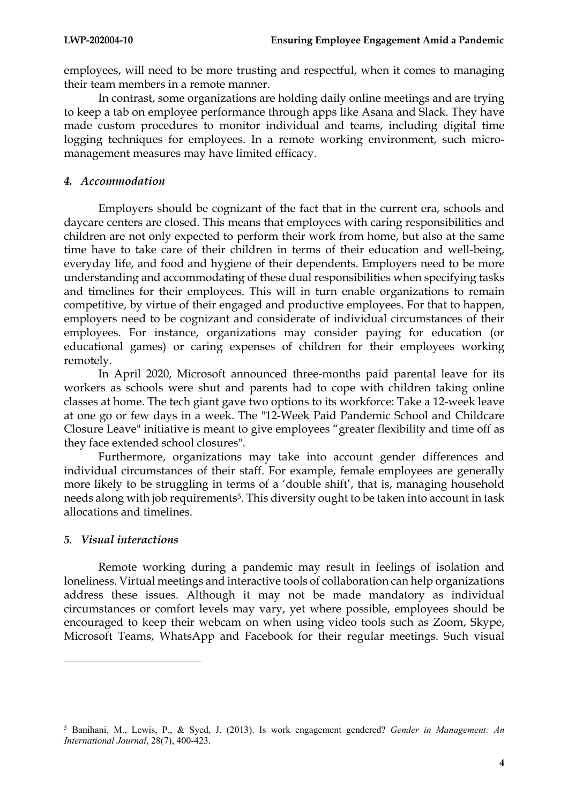employees, will need to be more trusting and respectful, when it comes to managing their team members in a remote manner.

In contrast, some organizations are holding daily online meetings and are trying to keep a tab on employee performance through apps like Asana and Slack. They have made custom procedures to monitor individual and teams, including digital time logging techniques for employees. In a remote working environment, such micromanagement measures may have limited efficacy.

#### *4. Accommodation*

Employers should be cognizant of the fact that in the current era, schools and daycare centers are closed. This means that employees with caring responsibilities and children are not only expected to perform their work from home, but also at the same time have to take care of their children in terms of their education and well-being, everyday life, and food and hygiene of their dependents. Employers need to be more understanding and accommodating of these dual responsibilities when specifying tasks and timelines for their employees. This will in turn enable organizations to remain competitive, by virtue of their engaged and productive employees. For that to happen, employers need to be cognizant and considerate of individual circumstances of their employees. For instance, organizations may consider paying for education (or educational games) or caring expenses of children for their employees working remotely.

In April 2020, Microsoft announced three-months paid parental leave for its workers as schools were shut and parents had to cope with children taking online classes at home. The tech giant gave two options to its workforce: Take a 12-week leave at one go or few days in a week. The "12-Week Paid Pandemic School and Childcare Closure Leave" initiative is meant to give employees "greater flexibility and time off as they face extended school closures".

Furthermore, organizations may take into account gender differences and individual circumstances of their staff. For example, female employees are generally more likely to be struggling in terms of a 'double shift', that is, managing household needs along with job requirements<sup>5</sup>. This diversity ought to be taken into account in task allocations and timelines.

## *5. Visual interactions*

Remote working during a pandemic may result in feelings of isolation and loneliness. Virtual meetings and interactive tools of collaboration can help organizations address these issues. Although it may not be made mandatory as individual circumstances or comfort levels may vary, yet where possible, employees should be encouraged to keep their webcam on when using video tools such as Zoom, Skype, Microsoft Teams, WhatsApp and Facebook for their regular meetings. Such visual

<sup>5</sup> Banihani, M., Lewis, P., & Syed, J. (2013). Is work engagement gendered? *Gender in Management: An International Journal*, 28(7), 400-423.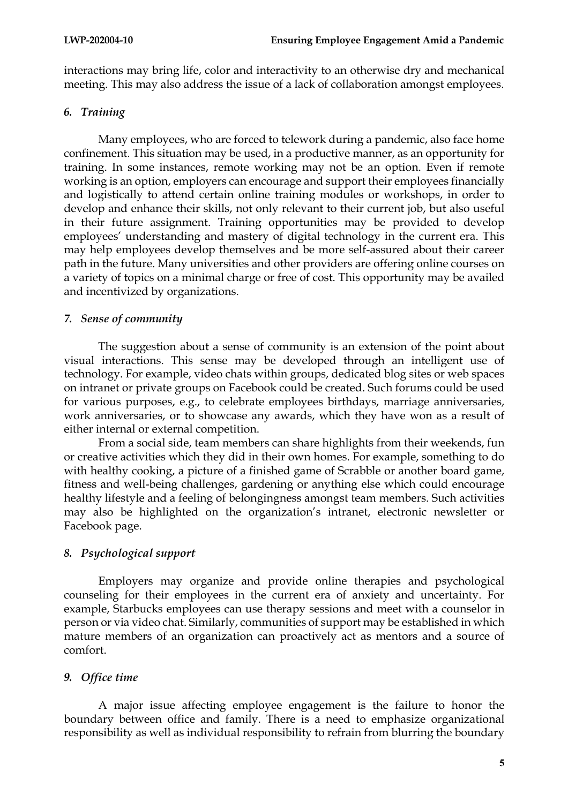interactions may bring life, color and interactivity to an otherwise dry and mechanical meeting. This may also address the issue of a lack of collaboration amongst employees.

## *6. Training*

Many employees, who are forced to telework during a pandemic, also face home confinement. This situation may be used, in a productive manner, as an opportunity for training. In some instances, remote working may not be an option. Even if remote working is an option, employers can encourage and support their employees financially and logistically to attend certain online training modules or workshops, in order to develop and enhance their skills, not only relevant to their current job, but also useful in their future assignment. Training opportunities may be provided to develop employees' understanding and mastery of digital technology in the current era. This may help employees develop themselves and be more self-assured about their career path in the future. Many universities and other providers are offering online courses on a variety of topics on a minimal charge or free of cost. This opportunity may be availed and incentivized by organizations.

## *7. Sense of community*

The suggestion about a sense of community is an extension of the point about visual interactions. This sense may be developed through an intelligent use of technology. For example, video chats within groups, dedicated blog sites or web spaces on intranet or private groups on Facebook could be created. Such forums could be used for various purposes, e.g., to celebrate employees birthdays, marriage anniversaries, work anniversaries, or to showcase any awards, which they have won as a result of either internal or external competition.

From a social side, team members can share highlights from their weekends, fun or creative activities which they did in their own homes. For example, something to do with healthy cooking, a picture of a finished game of Scrabble or another board game, fitness and well-being challenges, gardening or anything else which could encourage healthy lifestyle and a feeling of belongingness amongst team members. Such activities may also be highlighted on the organization's intranet, electronic newsletter or Facebook page.

# *8. Psychological support*

Employers may organize and provide online therapies and psychological counseling for their employees in the current era of anxiety and uncertainty. For example, Starbucks employees can use therapy sessions and meet with a counselor in person or via video chat. Similarly, communities of support may be established in which mature members of an organization can proactively act as mentors and a source of comfort.

# *9. Office time*

A major issue affecting employee engagement is the failure to honor the boundary between office and family. There is a need to emphasize organizational responsibility as well as individual responsibility to refrain from blurring the boundary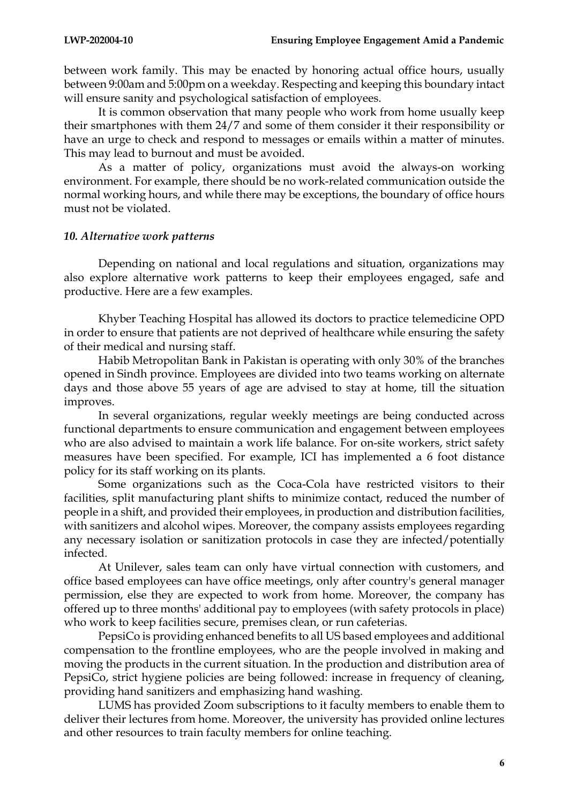between work family. This may be enacted by honoring actual office hours, usually between 9:00am and 5:00pm on a weekday. Respecting and keeping this boundary intact will ensure sanity and psychological satisfaction of employees.

It is common observation that many people who work from home usually keep their smartphones with them 24/7 and some of them consider it their responsibility or have an urge to check and respond to messages or emails within a matter of minutes. This may lead to burnout and must be avoided.

As a matter of policy, organizations must avoid the always-on working environment. For example, there should be no work-related communication outside the normal working hours, and while there may be exceptions, the boundary of office hours must not be violated.

#### *10. Alternative work patterns*

Depending on national and local regulations and situation, organizations may also explore alternative work patterns to keep their employees engaged, safe and productive. Here are a few examples.

Khyber Teaching Hospital has allowed its doctors to practice telemedicine OPD in order to ensure that patients are not deprived of healthcare while ensuring the safety of their medical and nursing staff.

Habib Metropolitan Bank in Pakistan is operating with only 30% of the branches opened in Sindh province. Employees are divided into two teams working on alternate days and those above 55 years of age are advised to stay at home, till the situation improves.

In several organizations, regular weekly meetings are being conducted across functional departments to ensure communication and engagement between employees who are also advised to maintain a work life balance. For on-site workers, strict safety measures have been specified. For example, ICI has implemented a 6 foot distance policy for its staff working on its plants.

Some organizations such as the Coca-Cola have restricted visitors to their facilities, split manufacturing plant shifts to minimize contact, reduced the number of people in a shift, and provided their employees, in production and distribution facilities, with sanitizers and alcohol wipes. Moreover, the company assists employees regarding any necessary isolation or sanitization protocols in case they are infected/potentially infected.

At Unilever, sales team can only have virtual connection with customers, and office based employees can have office meetings, only after country's general manager permission, else they are expected to work from home. Moreover, the company has offered up to three months' additional pay to employees (with safety protocols in place) who work to keep facilities secure, premises clean, or run cafeterias.

PepsiCo is providing enhanced benefits to all US based employees and additional compensation to the frontline employees, who are the people involved in making and moving the products in the current situation. In the production and distribution area of PepsiCo, strict hygiene policies are being followed: increase in frequency of cleaning, providing hand sanitizers and emphasizing hand washing.

LUMS has provided Zoom subscriptions to it faculty members to enable them to deliver their lectures from home. Moreover, the university has provided online lectures and other resources to train faculty members for online teaching.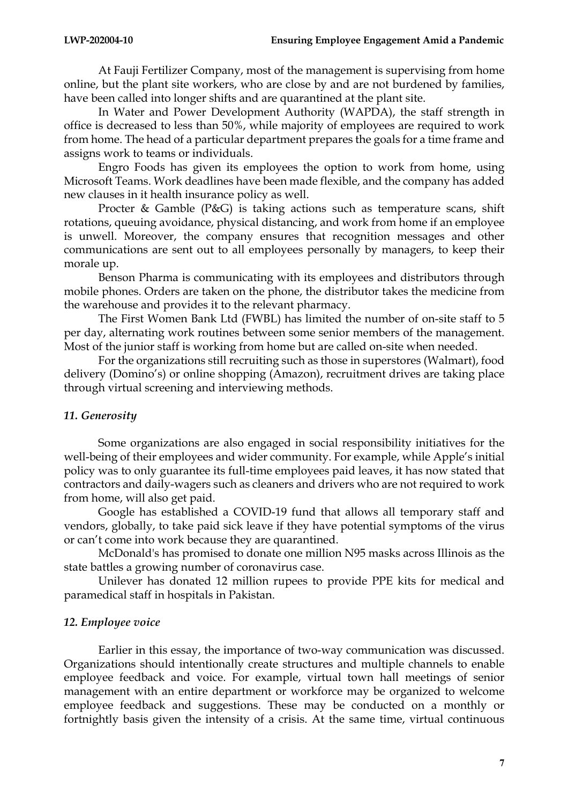At Fauji Fertilizer Company, most of the management is supervising from home online, but the plant site workers, who are close by and are not burdened by families, have been called into longer shifts and are quarantined at the plant site.

In Water and Power Development Authority (WAPDA), the staff strength in office is decreased to less than 50%, while majority of employees are required to work from home. The head of a particular department prepares the goals for a time frame and assigns work to teams or individuals.

Engro Foods has given its employees the option to work from home, using Microsoft Teams. Work deadlines have been made flexible, and the company has added new clauses in it health insurance policy as well.

Procter & Gamble (P&G) is taking actions such as temperature scans, shift rotations, queuing avoidance, physical distancing, and work from home if an employee is unwell. Moreover, the company ensures that recognition messages and other communications are sent out to all employees personally by managers, to keep their morale up.

Benson Pharma is communicating with its employees and distributors through mobile phones. Orders are taken on the phone, the distributor takes the medicine from the warehouse and provides it to the relevant pharmacy.

The First Women Bank Ltd (FWBL) has limited the number of on-site staff to 5 per day, alternating work routines between some senior members of the management. Most of the junior staff is working from home but are called on-site when needed.

For the organizations still recruiting such as those in superstores (Walmart), food delivery (Domino's) or online shopping (Amazon), recruitment drives are taking place through virtual screening and interviewing methods.

## *11. Generosity*

Some organizations are also engaged in social responsibility initiatives for the well-being of their employees and wider community. For example, while Apple's initial policy was to only guarantee its full-time employees paid leaves, it has now stated that contractors and daily-wagers such as cleaners and drivers who are not required to work from home, will also get paid.

Google has established a COVID-19 fund that allows all temporary staff and vendors, globally, to take paid sick leave if they have potential symptoms of the virus or can't come into work because they are quarantined.

McDonald's has promised to donate one million N95 masks across Illinois as the state battles a growing number of coronavirus case.

Unilever has donated 12 million rupees to provide PPE kits for medical and paramedical staff in hospitals in Pakistan.

## *12. Employee voice*

Earlier in this essay, the importance of two-way communication was discussed. Organizations should intentionally create structures and multiple channels to enable employee feedback and voice. For example, virtual town hall meetings of senior management with an entire department or workforce may be organized to welcome employee feedback and suggestions. These may be conducted on a monthly or fortnightly basis given the intensity of a crisis. At the same time, virtual continuous